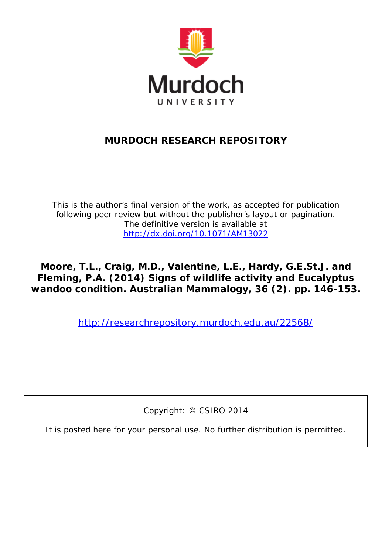

# **MURDOCH RESEARCH REPOSITORY**

*This is the author's final version of the work, as accepted for publication following peer review but without the publisher's layout or pagination. The definitive version is available at <http://dx.doi.org/10.1071/AM13022>*

**Moore, T.L., Craig, M.D., Valentine, L.E., Hardy, G.E.St.J. and Fleming, P.A. (2014) Signs of wildlife activity and Eucalyptus wandoo condition. Australian Mammalogy, 36 (2). pp. 146-153.**

<http://researchrepository.murdoch.edu.au/22568/>

Copyright: © CSIRO 2014

It is posted here for your personal use. No further distribution is permitted.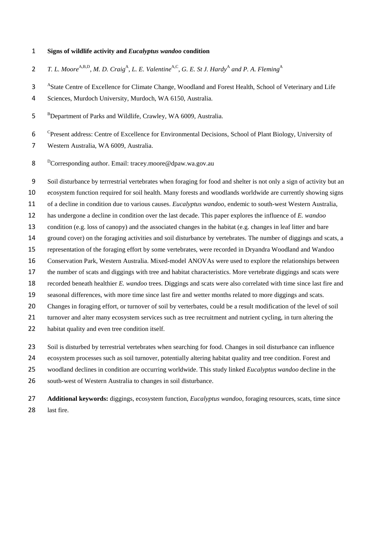#### **Signs of wildlife activity and** *Eucalyptus wandoo* **condition**

- **2** *T. L. Moore*<sup>A,B,D</sup>, *M. D. Craig*<sup>A</sup>, *L. E. Valentine*<sup>A,C</sup>, *G. E. St J. Hardy*<sup>A</sup> *and P. A. Fleming*<sup>A</sup>
- <sup>4</sup> 3 <sup>A</sup> State Centre of Excellence for Climate Change, Woodland and Forest Health, School of Veterinary and Life
- Sciences, Murdoch University, Murdoch, WA 6150, Australia.
- <sup>B</sup> Department of Parks and Wildlife, Crawley, WA 6009, Australia.
- <sup>C</sup> Present address: Centre of Excellence for Environmental Decisions, School of Plant Biology, University of
- Western Australia, WA 6009, Australia.
- 8  $^{D}$ Corresponding author. Email: tracey.moore@dpaw.wa.gov.au
- Soil disturbance by terrrestrial vertebrates when foraging for food and shelter is not only a sign of activity but an
- ecosystem function required for soil health. Many forests and woodlands worldwide are currently showing signs
- of a decline in condition due to various causes. *Eucalyptus wandoo*, endemic to south-west Western Australia,
- has undergone a decline in condition over the last decade. This paper explores the influence of *E. wandoo*
- condition (e.g. loss of canopy) and the associated changes in the habitat (e.g. changes in leaf litter and bare
- ground cover) on the foraging activities and soil disturbance by vertebrates. The number of diggings and scats, a
- representation of the foraging effort by some vertebrates, were recorded in Dryandra Woodland and Wandoo
- Conservation Park, Western Australia. Mixed-model ANOVAs were used to explore the relationships between
- the number of scats and diggings with tree and habitat characteristics. More vertebrate diggings and scats were
- recorded beneath healthier *E. wandoo* trees. Diggings and scats were also correlated with time since last fire and
- seasonal differences, with more time since last fire and wetter months related to more diggings and scats.
- Changes in foraging effort, or turnover of soil by verterbates, could be a result modification of the level of soil
- 21 turnover and alter many ecosystem services such as tree recruitment and nutrient cycling, in turn altering the
- 22 habitat quality and even tree condition itself.
- Soil is disturbed by terrestrial vertebrates when searching for food. Changes in soil disturbance can influence
- 24 ecosystem processes such as soil turnover, potentially altering habitat quality and tree condition. Forest and
- woodland declines in condition are occurring worldwide. This study linked *Eucalyptus wandoo* decline in the
- south-west of Western Australia to changes in soil disturbance.
- **Additional keywords:** diggings, ecosystem function, *Eucalyptus wandoo*, foraging resources, scats, time since 28 last fire.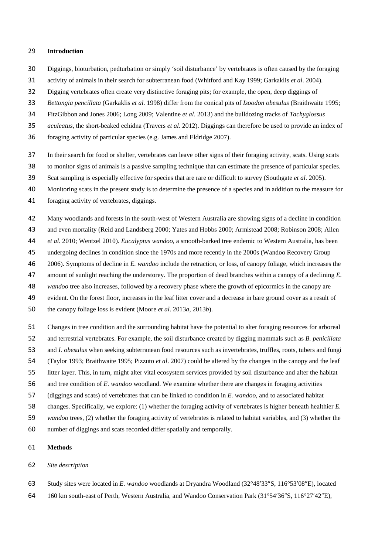#### **Introduction**

- Diggings, bioturbation, pedturbation or simply 'soil disturbance' by vertebrates is often caused by the foraging
- activity of animals in their search for subterranean food (Whitford and Kay 1999; Garkaklis *et al*. 2004).
- Digging vertebrates often create very distinctive foraging pits; for example, the open, deep diggings of
- *Bettongia pencillata* (Garkaklis *et al*. 1998) differ from the conical pits of *Isoodon obesulus* (Braithwaite 1995;
- FitzGibbon and Jones 2006; Long 2009; Valentine *et al*. 2013) and the bulldozing tracks of *Tachyglossus*
- *aculeatus*, the short-beaked echidna (Travers *et al*. 2012). Diggings can therefore be used to provide an index of
- foraging activity of particular species (e.g. James and Eldridge 2007).
- In their search for food or shelter, vertebrates can leave other signs of their foraging activity, scats. Using scats
- to monitor signs of animals is a passive sampling technique that can estimate the presence of particular species.
- Scat sampling is especially effective for species that are rare or difficult to survey (Southgate *et al*. 2005).
- Monitoring scats in the present study is to determine the presence of a species and in addition to the measure for
- foraging activity of vertebrates, diggings.
- Many woodlands and forests in the south-west of Western Australia are showing signs of a decline in condition
- and even mortality (Reid and Landsberg 2000; Yates and Hobbs 2000; Armistead 2008; Robinson 2008; Allen
- *et al*. 2010; Wentzel 2010). *Eucalyptus wandoo*, a smooth-barked tree endemic to Western Australia, has been
- undergoing declines in condition since the 1970s and more recently in the 2000s (Wandoo Recovery Group
- 2006). Symptoms of decline in *E. wandoo* include the retraction, or loss, of canopy foliage, which increases the
- amount of sunlight reaching the understorey. The proportion of dead branches within a canopy of a declining *E.*
- *wandoo* tree also increases, followed by a recovery phase where the growth of epicormics in the canopy are
- evident. On the forest floor, increases in the leaf litter cover and a decrease in bare ground cover as a result of
- the canopy foliage loss is evident (Moore *et al*. 2013*a*, 2013*b*).
- Changes in tree condition and the surrounding habitat have the potential to alter foraging resources for arboreal and terrestrial vertebrates. For example, the soil disturbance created by digging mammals such as *B. penicillata* and *I. obesulus* when seeking subterranean food resources such as invertebrates, truffles, roots, tubers and fungi (Taylor 1993; Braithwaite 1995; Pizzuto *et al*. 2007) could be altered by the changes in the canopy and the leaf litter layer. This, in turn, might alter vital ecosystem services provided by soil disturbance and alter the habitat and tree condition of *E. wandoo* woodland. We examine whether there are changes in foraging activities (diggings and scats) of vertebrates that can be linked to condition in *E. wandoo*, and to associated habitat changes. Specifically, we explore: (1) whether the foraging activity of vertebrates is higher beneath healthier *E.*
- *wandoo* trees, (2) whether the foraging activity of vertebrates is related to habitat variables, and (3) whether the
- number of diggings and scats recorded differ spatially and temporally.

#### **Methods**

#### *Site description*

- Study sites were located in *E. wandoo* woodlands at Dryandra Woodland (32°48′33″S, 116°53′08″E), located
- 160 km south-east of Perth, Western Australia, and Wandoo Conservation Park (31°54′36″S, 116°27′42″E),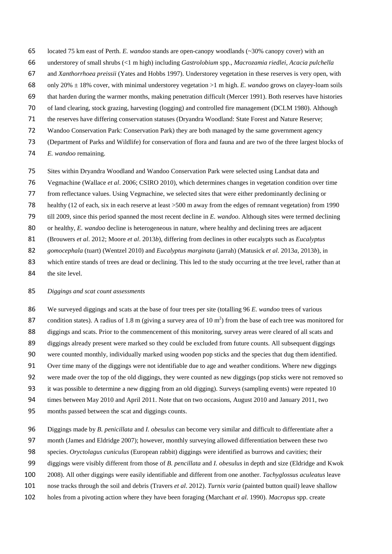- located 75 km east of Perth. *E. wandoo* stands are open-canopy woodlands (~30% canopy cover) with an
- understorey of small shrubs (<1 m high) including *Gastrolobium* spp., *Macrozamia riedlei*, *Acacia pulchella*
- and *Xanthorrhoea preissii* (Yates and Hobbs 1997). Understorey vegetation in these reserves is very open, with
- only 20% ± 18% cover, with minimal understorey vegetation >1 m high. *E. wandoo* grows on clayey-loam soils
- that harden during the warmer months, making penetration difficult (Mercer 1991). Both reserves have histories
- of land clearing, stock grazing, harvesting (logging) and controlled fire management (DCLM 1980). Although
- the reserves have differing conservation statuses (Dryandra Woodland: State Forest and Nature Reserve;
- Wandoo Conservation Park: Conservation Park) they are both managed by the same government agency
- (Department of Parks and Wildlife) for conservation of flora and fauna and are two of the three largest blocks of
- *E. wandoo* remaining.
- Sites within Dryandra Woodland and Wandoo Conservation Park were selected using Landsat data and
- Vegmachine (Wallace *et al*. 2006; CSIRO 2010), which determines changes in vegetation condition over time
- from reflectance values. Using Vegmachine, we selected sites that were either predominantly declining or
- healthy (12 of each, six in each reserve at least >500 m away from the edges of remnant vegetation) from 1990
- till 2009, since this period spanned the most recent decline in *E. wandoo*. Although sites were termed declining
- 80 or healthy, *E. wandoo* decline is heterogeneous in nature, where healthy and declining trees are adjacent
- (Brouwers *et al*. 2012; Moore *et al*. 2013*b*), differing from declines in other eucalypts such as *Eucalyptus*
- *gomocephala* (tuart) (Wentzel 2010) and *Eucalyptus marginata* (jarrah) (Matusick *et al*. 2013*a*, 2013*b*), in
- which entire stands of trees are dead or declining. This led to the study occurring at the tree level, rather than at
- 84 the site level.

#### *Diggings and scat count assessments*

- We surveyed diggings and scats at the base of four trees per site (totalling 96 *E. wandoo* trees of various
- 87 condition states). A radius of 1.8 m (giving a survey area of 10  $\text{m}^2$ ) from the base of each tree was monitored for
- diggings and scats. Prior to the commencement of this monitoring, survey areas were cleared of all scats and
- diggings already present were marked so they could be excluded from future counts. All subsequent diggings
- were counted monthly, individually marked using wooden pop sticks and the species that dug them identified.
- Over time many of the diggings were not identifiable due to age and weather conditions. Where new diggings
- were made over the top of the old diggings, they were counted as new diggings (pop sticks were not removed so
- it was possible to determine a new digging from an old digging). Surveys (sampling events) were repeated 10
- times between May 2010 and April 2011. Note that on two occasions, August 2010 and January 2011, two
- months passed between the scat and diggings counts.
- Diggings made by *B. penicillata* and *I. obesulus* can become very similar and difficult to differentiate after a
- month (James and Eldridge 2007); however, monthly surveying allowed differentiation between these two
- species. *Oryctolagus cuniculus* (European rabbit) diggings were identified as burrows and cavities; their
- diggings were visibly different from those of *B. pencillata* and *I. obesulus* in depth and size (Eldridge and Kwok
- 2008). All other diggings were easily identifiable and different from one another. *Tachyglossus aculeatus* leave
- nose tracks through the soil and debris (Travers *et al*. 2012). *Turnix varia* (painted button quail) leave shallow
- holes from a pivoting action where they have been foraging (Marchant *et al*. 1990). *Macropus* spp. create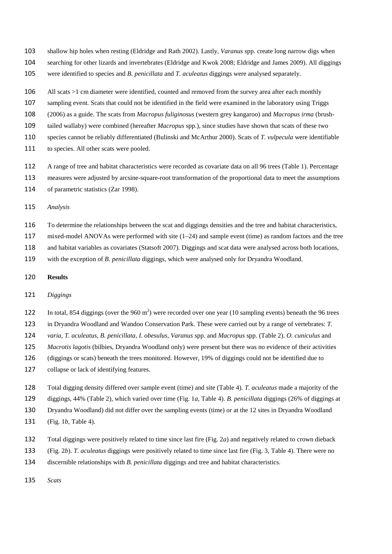- shallow hip holes when resting (Eldridge and Rath 2002). Lastly, *Varanus* spp. create long narrow digs when
- searching for other lizards and invertebrates (Eldridge and Kwok 2008; Eldridge and James 2009). All diggings
- were identified to species and *B. penicillata* and *T. aculeatus* diggings were analysed separately.
- All scats >1 cm diameter were identified, counted and removed from the survey area after each monthly
- sampling event. Scats that could not be identified in the field were examined in the laboratory using Triggs
- (2006) as a guide. The scats from *Macropus fuliginosus* (western grey kangaroo) and *Macropus irma* (brush-
- tailed wallaby) were combined (hereafter *Macropus* spp.), since studies have shown that scats of these two
- species cannot be reliably differentiated (Bulinski and McArthur 2000). Scats of *T. vulpecula* were identifiable
- 111 to species. All other scats were pooled.
- A range of tree and habitat characteristics were recorded as covariate data on all 96 trees (Table 1). Percentage
- measures were adjusted by arcsine-square-root transformation of the proportional data to meet the assumptions
- 114 of parametric statistics (Zar 1998).
- *Analysis*
- To determine the relationships between the scat and diggings densities and the tree and habitat characteristics,
- mixed-model ANOVAs were performed with site (1–24) and sample event (time) as random factors and the tree
- and habitat variables as covariates (Statsoft 2007). Diggings and scat data were analysed across both locations,
- with the exception of *B. penicillata* diggings, which were analysed only for Dryandra Woodland.
- **Results**

#### *Diggings*

- 122 In total, 854 diggings (over the 960  $\text{m}^2$ ) were recorded over one year (10 sampling events) beneath the 96 trees
- in Dryandra Woodland and Wandoo Conservation Park. These were carried out by a range of vertebrates: *T.*
- *varia*, *T. aculeatus*, *B. penicillata*, *I. obesulus*, *Varanus* spp. and *Macropus* spp. (Table 2). *O. cuniculus* and
- *Macrotis lagotis* (bilbies, Dryandra Woodland only) were present but there was no evidence of their activities
- (diggings or scats) beneath the trees monitored. However, 19% of diggings could not be identified due to
- collapse or lack of identifying features.
- Total digging density differed over sample event (time) and site (Table 4). *T. aculeatus* made a majority of the diggings, 44% (Table 2), which varied over time (Fig. 1*a*, Table 4). *B. penicillata* diggings (26% of diggings at
- Dryandra Woodland) did not differ over the sampling events (time) or at the 12 sites in Dryandra Woodland
- (Fig. 1*b*, Table 4).
- Total diggings were positively related to time since last fire (Fig. 2*a*) and negatively related to crown dieback
- (Fig. 2*b*). *T. aculeatus* diggings were positively related to time since last fire (Fig. 3, Table 4). There were no
- discernible relationships with *B. penicillata* diggings and tree and habitat characteristics.
- *Scats*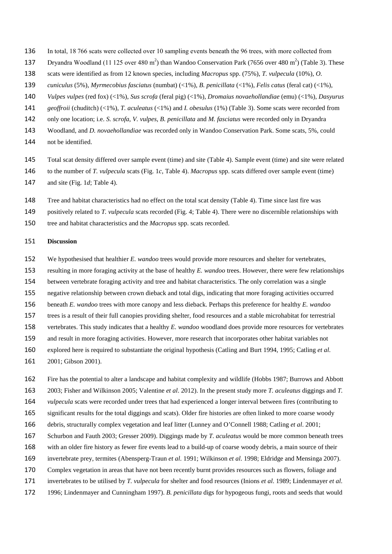- In total, 18 766 scats were collected over 10 sampling events beneath the 96 trees, with more collected from
- 137 Dryandra Woodland (11 125 over 480 m<sup>2</sup>) than Wandoo Conservation Park (7656 over 480 m<sup>2</sup>) (Table 3). These
- scats were identified as from 12 known species, including *Macropus* spp. (75%), *T. vulpecula* (10%), *O.*
- *cuniculus* (5%), *Myrmecobius fasciatus* (numbat) (<1%), *B. penicillata* (<1%), *Felis catus* (feral cat) (<1%),
- *Vulpes vulpes* (red fox) (<1%), *Sus scrofa* (feral pig) (<1%), *Dromaius novaehollandiae* (emu) (<1%), *Dasyurus*
- *geoffroii* (chuditch) (<1%), *T. aculeatus* (<1%) and *I. obesulus* (1%) (Table 3). Some scats were recorded from
- only one location; i.e. *S. scrofa*, *V. vulpes*, *B. penicillata* and *M. fasciatus* were recorded only in Dryandra
- Woodland, and *D. novaehollandiae* was recorded only in Wandoo Conservation Park. Some scats, 5%, could
- not be identified.
- Total scat density differed over sample event (time) and site (Table 4). Sample event (time) and site were related
- to the number of *T. vulpecula* scats (Fig. 1*c*, Table 4). *Macropus* spp. scats differed over sample event (time)
- and site (Fig. 1*d*; Table 4).
- Tree and habitat characteristics had no effect on the total scat density (Table 4). Time since last fire was
- positively related to *T. vulpecula* scats recorded (Fig. 4; Table 4). There were no discernible relationships with
- tree and habitat characteristics and the *Macropus* spp. scats recorded.

#### **Discussion**

- We hypothesised that healthier *E. wandoo* trees would provide more resources and shelter for vertebrates,
- resulting in more foraging activity at the base of healthy *E. wandoo* trees. However, there were few relationships
- between vertebrate foraging activity and tree and habitat characteristics. The only correlation was a single
- negative relationship between crown dieback and total digs, indicating that more foraging activities occurred
- beneath *E. wandoo* trees with more canopy and less dieback. Perhaps this preference for healthy *E. wandoo*
- trees is a result of their full canopies providing shelter, food resources and a stable microhabitat for terrestrial
- vertebrates. This study indicates that a healthy *E. wandoo* woodland does provide more resources for vertebrates
- and result in more foraging activities. However, more research that incorporates other habitat variables not
- explored here is required to substantiate the original hypothesis (Catling and Burt 1994, 1995; Catling *et al*.
- 2001; Gibson 2001).
- Fire has the potential to alter a landscape and habitat complexity and wildlife (Hobbs 1987; Burrows and Abbott
- 2003; Fisher and Wilkinson 2005; Valentine *et al*. 2012). In the present study more *T. aculeatus* diggings and *T.*
- *vulpecula* scats were recorded under trees that had experienced a longer interval between fires (contributing to
- significant results for the total diggings and scats). Older fire histories are often linked to more coarse woody
- debris, structurally complex vegetation and leaf litter (Lunney and O'Connell 1988; Catling *et al*. 2001;
- Schurbon and Fauth 2003; Gresser 2009). Diggings made by *T. aculeatus* would be more common beneath trees
- with an older fire history as fewer fire events lead to a build-up of coarse woody debris, a main source of their
- invertebrate prey, termites (Abensperg-Traun *et al*. 1991; Wilkinson *et al*. 1998; Eldridge and Mensinga 2007).
- Complex vegetation in areas that have not been recently burnt provides resources such as flowers, foliage and
- invertebrates to be utilised by *T. vulpecula* for shelter and food resources (Inions *et al*. 1989; Lindenmayer *et al*.
- 1996; Lindenmayer and Cunningham 1997). *B. penicillata* digs for hypogeous fungi, roots and seeds that would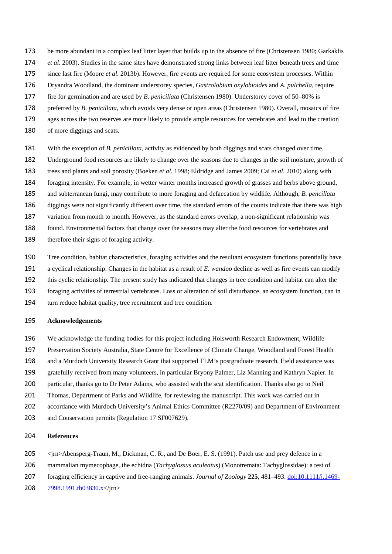- be more abundant in a complex leaf litter layer that builds up in the absence of fire (Christensen 1980; Garkaklis
- *et al*. 2003). Studies in the same sites have demonstrated strong links between leaf litter beneath trees and time
- since last fire (Moore *et al*. 2013*b*). However, fire events are required for some ecosystem processes. Within
- Dryandra Woodland, the dominant understorey species, *Gastrolobium oxylobioides* and *A. pulchella*, require
- fire for germination and are used by *B. penicillata* (Christensen 1980). Understorey cover of 50–80% is
- preferred by *B. penicillata*, which avoids very dense or open areas (Christensen 1980). Overall, mosaics of fire
- ages across the two reserves are more likely to provide ample resources for vertebrates and lead to the creation
- of more diggings and scats.
- With the exception of *B. penicillata*, activity as evidenced by both diggings and scats changed over time.
- Underground food resources are likely to change over the seasons due to changes in the soil moisture, growth of
- trees and plants and soil porosity (Boeken *et al*. 1998; Eldridge and James 2009; Cai *et al*. 2010) along with
- foraging intensity. For example, in wetter winter months increased growth of grasses and herbs above ground,
- and subterranean fungi, may contribute to more foraging and defaecation by wildlife. Although, *B. pencillata*
- diggings were not significantly different over time, the standard errors of the counts indicate that there was high
- variation from month to month. However, as the standard errors overlap, a non-significant relationship was
- found. Environmental factors that change over the seasons may alter the food resources for vertebrates and
- 189 therefore their signs of foraging activity.
- Tree condition, habitat characteristics, foraging activities and the resultant ecosystem functions potentially have
- a cyclical relationship. Changes in the habitat as a result of *E. wandoo* decline as well as fire events can modify
- this cyclic relationship. The present study has indicated that changes in tree condition and habitat can alter the
- foraging activities of terrestrial vertebrates. Loss or alteration of soil disturbance, an ecosystem function, can in
- turn reduce habitat quality, tree recruitment and tree condition.

#### **Acknowledgements**

- We acknowledge the funding bodies for this project including Holsworth Research Endowment, Wildlife
- Preservation Society Australia, State Centre for Excellence of Climate Change, Woodland and Forest Health
- and a Murdoch University Research Grant that supported TLM's postgraduate research. Field assistance was
- gratefully received from many volunteers, in particular Bryony Palmer, Liz Manning and Kathryn Napier. In
- particular, thanks go to Dr Peter Adams, who assisted with the scat identification. Thanks also go to Neil
- Thomas, Department of Parks and Wildlife, for reviewing the manuscript. This work was carried out in
- 202 accordance with Murdoch University's Animal Ethics Committee (R2270/09) and Department of Environment
- 203 and Conservation permits (Regulation 17 SF007629).

#### **References**

- 205  $\leq$ irn>Abensperg-Traun, M., Dickman, C. R., and De Boer, E. S. (1991). Patch use and prey defence in a
- mammalian mymecophage, the echidna (*Tachyglossus aculeatus*) (Monotremata: Tachyglossidae): a test of
- foraging efficiency in captive and free-ranging animals. *Journal of Zoology* **225**, 481–493[. doi:10.1111/j.1469-](http://dx.doi.org/10.1111/j.1469-7998.1991.tb03830.x)
- [7998.1991.tb03830.x<](http://dx.doi.org/10.1111/j.1469-7998.1991.tb03830.x)/im>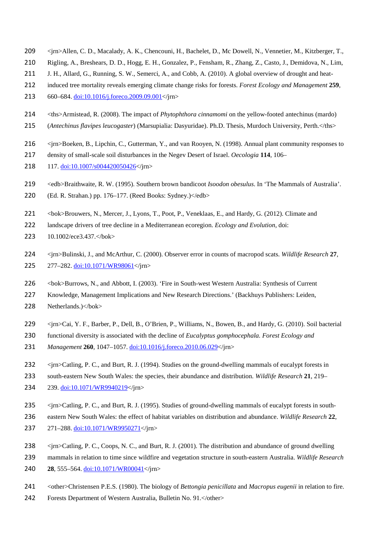- 209 <jrn>Allen, C. D., Macalady, A. K., Chencouni, H., Bachelet, D., Mc Dowell, N., Vennetier, M., Kitzberger, T.,
- Rigling, A., Breshears, D. D., Hogg, E. H., Gonzalez, P., Fensham, R., Zhang, Z., Casto, J., Demidova, N., Lim,
- 211 J. H., Allard, G., Running, S. W., Semerci, A., and Cobb, A. (2010). A global overview of drought and heat-
- induced tree mortality reveals emerging climate change risks for forests. *Forest Ecology and Management* **259**,
- 660–684. [doi:10.1016/j.foreco.2009.09.001<](http://dx.doi.org/10.1016/j.foreco.2009.09.001)/jrn>
- <ths>Armistead, R. (2008). The impact of *Phytophthora cinnamomi* on the yellow-footed antechinus (mardo)
- (*Antechinus flavipes leucogaster*) (Marsupialia: Dasyuridae). Ph.D. Thesis, Murdoch University, Perth.</ths>
- 216  $\leq$ irn>Boeken, B., Lipchin, C., Gutterman, Y., and van Rooyen, N. (1998). Annual plant community responses to
- density of small-scale soil disturbances in the Negev Desert of Israel. *Oecologia* **114**, 106–
- 218 117. [doi:10.1007/s004420050426<](http://dx.doi.org/10.1007/s004420050426)/jrn>
- <edb>Braithwaite, R. W. (1995). Southern brown bandicoot *Isoodon obesulus*. In 'The Mammals of Australia'.
- 220 (Ed. R. Strahan.) pp. 176–177. (Reed Books: Sydney.) $\lt$ /edb>
- 221 <br/>look>Brouwers, N., Mercer, J., Lyons, T., Poot, P., Veneklaas, E., and Hardy, G. (2012). Climate and
- landscape drivers of tree decline in a Mediterranean ecoregion. *Ecology and Evolution*, doi:
- 10.1002/ece3.437.</bok>
- <jrn>Bulinski, J., and McArthur, C. (2000). Observer error in counts of macropod scats. *Wildlife Research* **27**, 277–282. [doi:10.1071/WR98061<](http://dx.doi.org/10.1071/WR98061)/jrn>
- 226 <br/> <br/> <br/> <br/>
<br/>
<br/>
<br/>
Australia: Synthesis of Current Current Current Current Current Current<br/>
<br/>
L. (2003). 'Fire in South-west Western Australia: Synthesis of Current Current Current Curren
- Knowledge, Management Implications and New Research Directions.' (Backhuys Publishers: Leiden,
- 228 Netherlands.)</bok>
- <jrn>Cai, Y. F., Barber, P., Dell, B., O'Brien, P., Williams, N., Bowen, B., and Hardy, G. (2010). Soil bacterial
- functional diversity is associated with the decline of *Eucalyptus gomphocephala. Forest Ecology and Management* **260**, 1047–1057[. doi:10.1016/j.foreco.2010.06.029<](http://dx.doi.org/10.1016/j.foreco.2010.06.029)/jrn>
- <jrn>Catling, P. C., and Burt, R. J. (1994). Studies on the ground-dwelling mammals of eucalypt forests in
- south-eastern New South Wales: the species, their abundance and distribution. *Wildlife Research* **21**, 219–
- 234 239. [doi:10.1071/WR9940219<](http://dx.doi.org/10.1071/WR9940219)/jrn>
- 235 <irn>Catling, P. C., and Burt, R. J. (1995). Studies of ground-dwelling mammals of eucalypt forests in south-
- eastern New South Wales: the effect of habitat variables on distribution and abundance. *Wildlife Research* **22**,
- 271–288. [doi:10.1071/WR9950271<](http://dx.doi.org/10.1071/WR9950271)/jrn>
- <jrn>Catling, P. C., Coops, N. C., and Burt, R. J. (2001). The distribution and abundance of ground dwelling
- mammals in relation to time since wildfire and vegetation structure in south-eastern Australia. *Wildlife Research* **28**, 555–564. [doi:10.1071/WR00041<](http://dx.doi.org/10.1071/WR00041)/jrn>
- <other>Christensen P.E.S. (1980). The biology of *Bettongia penicillata* and *Macropus eugenii* in relation to fire.
- 242 Forests Department of Western Australia, Bulletin No. 91.</other>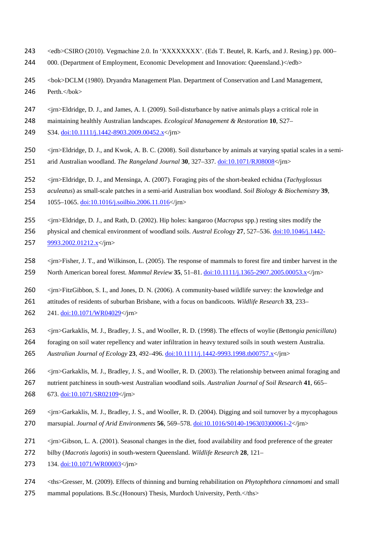- 243 <edb>CSIRO (2010). Vegmachine 2.0. In 'XXXXXXXX'. (Eds T. Beutel, R. Karfs, and J. Resing.) pp. 000–
- 244 000. (Department of Employment, Economic Development and Innovation: Queensland.) $\lt \lt$ edb>
- <bok>DCLM (1980). Dryandra Management Plan. Department of Conservation and Land Management, 246 Perth.</bok>
- <jrn>Eldridge, D. J., and James, A. I. (2009). Soil-disturbance by native animals plays a critical role in
- maintaining healthly Australian landscapes. *Ecological Management & Restoration* **10**, S27–
- 249 S34[. doi:10.1111/j.1442-8903.2009.00452.x<](http://dx.doi.org/10.1111/j.1442-8903.2009.00452.x)/jrn>
- 250 <jrn>Eldridge, D. J., and Kwok, A. B. C. (2008). Soil disturbance by animals at varying spatial scales in a semi-
- arid Australian woodland. *The Rangeland Journal* **30**, 327–337[. doi:10.1071/RJ08008<](http://dx.doi.org/10.1071/RJ08008)/jrn>
- <jrn>Eldridge, D. J., and Mensinga, A. (2007). Foraging pits of the short-beaked echidna (*Tachyglossus*
- *aculeatus*) as small-scale patches in a semi-arid Australian box woodland. *Soil Biology & Biochemistry* **39**,
- 1055–1065. [doi:10.1016/j.soilbio.2006.11.016<](http://dx.doi.org/10.1016/j.soilbio.2006.11.016)/jrn>
- <jrn>Eldridge, D. J., and Rath, D. (2002). Hip holes: kangaroo (*Macropus* spp.) resting sites modify the
- physical and chemical environment of woodland soils. *Austral Ecology* **27**, 527–536[. doi:10.1046/j.1442-](http://dx.doi.org/10.1046/j.1442-9993.2002.01212.x) [9993.2002.01212.x<](http://dx.doi.org/10.1046/j.1442-9993.2002.01212.x)/jrn>
- <jrn>Fisher, J. T., and Wilkinson, L. (2005). The response of mammals to forest fire and timber harvest in the
- North American boreal forest. *Mammal Review* **35**, 51–81[. doi:10.1111/j.1365-2907.2005.00053.x<](http://dx.doi.org/10.1111/j.1365-2907.2005.00053.x)/jrn>
- <jrn>FitzGibbon, S. I., and Jones, D. N. (2006). A community-based wildlife survey: the knowledge and
- attitudes of residents of suburban Brisbane, with a focus on bandicoots. *Wildlife Research* **33**, 233–
- 262 241. [doi:10.1071/WR04029<](http://dx.doi.org/10.1071/WR04029)/jrn>
- <jrn>Garkaklis, M. J., Bradley, J. S., and Wooller, R. D. (1998). The effects of woylie (*Bettongia penicillata*)
- foraging on soil water repellency and water infiltration in heavy textured soils in south western Australia.
- *Australian Journal of Ecology* **23**, 492–496. [doi:10.1111/j.1442-9993.1998.tb00757.x<](http://dx.doi.org/10.1111/j.1442-9993.1998.tb00757.x)/jrn>
- 266  $\leq$ irn>Garkaklis, M. J., Bradley, J. S., and Wooller, R. D. (2003). The relationship between animal foraging and
- nutrient patchiness in south-west Australian woodland soils. *Australian Journal of Soil Research* **41**, 665– 268 673. [doi:10.1071/SR02109<](http://dx.doi.org/10.1071/SR02109)/irn>
- <jrn>Garkaklis, M. J., Bradley, J. S., and Wooller, R. D. (2004). Digging and soil turnover by a mycophagous
- marsupial. *Journal of Arid Environments* **56**, 569–578[. doi:10.1016/S0140-1963\(03\)00061-2<](http://dx.doi.org/10.1016/S0140-1963(03)00061-2)/jrn>
- 271 <*jrn>Gibson, L. A. (2001).* Seasonal changes in the diet, food availability and food preference of the greater
- bilby (*Macrotis lagotis*) in south-western Queensland. *Wildlife Research* **28**, 121–
- 273 134. [doi:10.1071/WR00003<](http://dx.doi.org/10.1071/WR00003)/jrn>
- <ths>Gresser, M. (2009). Effects of thinning and burning rehabilitation on *Phytophthora cinnamomi* and small
- 275 mammal populations. B.Sc.(Honours) Thesis, Murdoch University, Perth.</ths>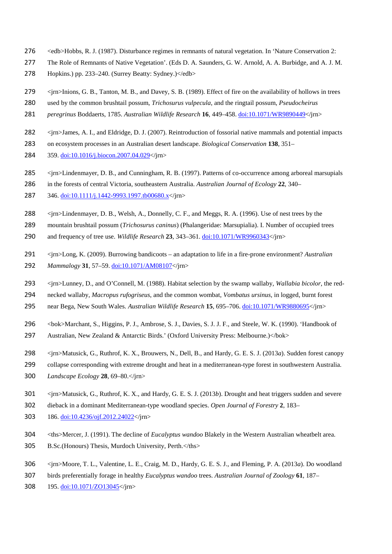- 276 <edb>Hobbs, R. J. (1987). Disturbance regimes in remnants of natural vegetation. In 'Nature Conservation 2:
- The Role of Remnants of Native Vegetation'. (Eds D. A. Saunders, G. W. Arnold, A. A. Burbidge, and A. J. M.
- Hopkins.) pp. 233–240. (Surrey Beatty: Sydney.)</edb>
- 279  $\leq$ irn>Inions, G. B., Tanton, M. B., and Davey, S. B. (1989). Effect of fire on the availability of hollows in trees
- used by the common brushtail possum, *Trichosurus vulpecula*, and the ringtail possum, *Pseudocheirus*
- *peregrinus* Boddaerts, 1785. *Australian Wildlife Research* **16**, 449–458. [doi:10.1071/WR9890449<](http://dx.doi.org/10.1071/WR9890449)/jrn>
- <jrn>James, A. I., and Eldridge, D. J. (2007). Reintroduction of fossorial native mammals and potential impacts
- on ecosystem processes in an Australian desert landscape. *Biological Conservation* **138**, 351–
- 359. [doi:10.1016/j.biocon.2007.04.029<](http://dx.doi.org/10.1016/j.biocon.2007.04.029)/jrn>
- <jrn>Lindenmayer, D. B., and Cunningham, R. B. (1997). Patterns of co-occurrence among arboreal marsupials
- in the forests of central Victoria, southeastern Australia. *Australian Journal of Ecology* **22**, 340–
- 287 346. [doi:10.1111/j.1442-9993.1997.tb00680.x<](http://dx.doi.org/10.1111/j.1442-9993.1997.tb00680.x)/irn>
- <jrn>Lindenmayer, D. B., Welsh, A., Donnelly, C. F., and Meggs, R. A. (1996). Use of nest trees by the
- mountain brushtail possum (*Trichosurus caninus*) (Phalangeridae: Marsupialia). I. Number of occupied trees
- and frequency of tree use. *Wildlife Research* **23**, 343–361. [doi:10.1071/WR9960343<](http://dx.doi.org/10.1071/WR9960343)/jrn>
- <jrn>Long, K. (2009). Burrowing bandicoots an adaptation to life in a fire-prone environment? *Australian Mammalogy* **31**, 57–59[. doi:10.1071/AM08107<](http://dx.doi.org/10.1071/AM08107)/jrn>
- <jrn>Lunney, D., and O'Connell, M. (1988). Habitat selection by the swamp wallaby, *Wallabia bicolor*, the red-
- necked wallaby, *Macropus rufogriseus*, and the common wombat, *Vombatus ursinus*, in logged, burnt forest
- near Bega, New South Wales. *Australian Wildlife Research* **15**, 695–706. [doi:10.1071/WR9880695<](http://dx.doi.org/10.1071/WR9880695)/jrn>
- 296 <br/> <br/>bok>Marchant, S., Higgins, P. J., Ambrose, S. J., Davies, S. J. J. F., and Steele, W. K. (1990). 'Handbook of
- Australian, New Zealand & Antarctic Birds.' (Oxford University Press: Melbourne.)</bok>
- <jrn>Matusick, G., Ruthrof, K. X., Brouwers, N., Dell, B., and Hardy, G. E. S. J. (2013*a*). Sudden forest canopy
- collapse corresponding with extreme drought and heat in a mediterranean-type forest in southwestern Australia.
- *Landscape Ecology* **28**, 69–80.</jrn>
- 301 <*jrn>Matusick, G., Ruthrof, K. X., and Hardy, G. E. S. J. (2013b). Drought and heat triggers sudden and severe*
- dieback in a dominant Mediterranean-type woodland species. *Open Journal of Forestry* **2**, 183–
- 186. [doi:10.4236/ojf.2012.24022<](http://dx.doi.org/10.4236/ojf.2012.24022)/jrn>
- <ths>Mercer, J. (1991). The decline of *Eucalyptus wandoo* Blakely in the Western Australian wheatbelt area.
- 305 B.Sc.(Honours) Thesis, Murdoch University, Perth.</ths>
- <jrn>Moore, T. L., Valentine, L. E., Craig, M. D., Hardy, G. E. S. J., and Fleming, P. A. (2013*a*). Do woodland
- birds preferentially forage in healthy *Eucalyptus wandoo* trees. *Australian Journal of Zoology* **61**, 187–
- 195. [doi:10.1071/ZO13045<](http://dx.doi.org/10.1071/ZO13045)/jrn>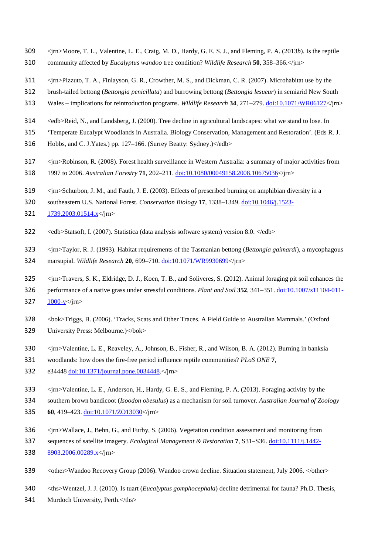- <jrn>Moore, T. L., Valentine, L. E., Craig, M. D., Hardy, G. E. S. J., and Fleming, P. A. (2013*b*). Is the reptile
- community affected by *Eucalyptus wandoo* tree condition? *Wildlife Research* **50**, 358–366.</jrn>
- <jrn>Pizzuto, T. A., Finlayson, G. R., Crowther, M. S., and Dickman, C. R. (2007). Microhabitat use by the
- brush-tailed bettong (*Bettongia penicillata*) and burrowing bettong (*Bettongia lesueur*) in semiarid New South
- Wales implications for reintroduction programs. *Wildlife Research* **34**, 271–279. [doi:10.1071/WR06127<](http://dx.doi.org/10.1071/WR06127)/jrn>
- <edb>Reid, N., and Landsberg, J. (2000). Tree decline in agricultural landscapes: what we stand to lose. In
- 'Temperate Eucalypt Woodlands in Australia. Biology Conservation, Management and Restoration'. (Eds R. J.
- Hobbs, and C. J.Yates.) pp. 127–166. (Surrey Beatty: Sydney.)</edb>
- <jrn>Robinson, R. (2008). Forest health surveillance in Western Australia: a summary of major activities from
- 1997 to 2006. *Australian Forestry* **71**, 202–211. [doi:10.1080/00049158.2008.10675036<](http://dx.doi.org/10.1080/00049158.2008.10675036)/jrn>
- <jrn>Schurbon, J. M., and Fauth, J. E. (2003). Effects of prescribed burning on amphibian diversity in a
- southeastern U.S. National Forest. *Conservation Biology* **17**, 1338–1349[. doi:10.1046/j.1523-](http://dx.doi.org/10.1046/j.1523-1739.2003.01514.x)
- [1739.2003.01514.x<](http://dx.doi.org/10.1046/j.1523-1739.2003.01514.x)/jrn>
- 322 <edb>Statsoft, I. (2007). Statistica (data analysis software system) version 8.0. </edb>
- <jrn>Taylor, R. J. (1993). Habitat requirements of the Tasmanian bettong (*Bettongia gaimardi*), a mycophagous
- marsupial. *Wildlife Research* **20**, 699–710. [doi:10.1071/WR9930699<](http://dx.doi.org/10.1071/WR9930699)/jrn>
- <jrn>Travers, S. K., Eldridge, D. J., Koen, T. B., and Soliveres, S. (2012). Animal foraging pit soil enhances the
- performance of a native grass under stressful conditions. *Plant and Soil* **352**, 341–351. [doi:10.1007/s11104-011-](http://dx.doi.org/10.1007/s11104-011-1000-y)
- 327  $1000-y$   $\frac{1}{y}$
- <bok>Triggs, B. (2006). 'Tracks, Scats and Other Traces. A Field Guide to Australian Mammals.' (Oxford
- 329 University Press: Melbourne.)</bok>
- <jrn>Valentine, L. E., Reaveley, A., Johnson, B., Fisher, R., and Wilson, B. A. (2012). Burning in banksia
- woodlands: how does the fire-free period influence reptile communities? *PLoS ONE* **7**,
- e34448 [doi:10.1371/journal.pone.0034448.](http://dx.doi.org/10.1371/journal.pone.0034448)</jrn>
- <jrn>Valentine, L. E., Anderson, H., Hardy, G. E. S., and Fleming, P. A. (2013). Foraging activity by the
- southern brown bandicoot (*Isoodon obesulus*) as a mechanism for soil turnover. *Australian Journal of Zoology*
- **60**, 419–423. [doi:10.1071/ZO13030<](http://dx.doi.org/10.1071/ZO13030)/jrn>
- <jrn>Wallace, J., Behn, G., and Furby, S. (2006). Vegetation condition assessment and monitoring from
- sequences of satellite imagery. *Ecological Management & Restoration* **7**, S31–S36. [doi:10.1111/j.1442-](http://dx.doi.org/10.1111/j.1442-8903.2006.00289.x)
- [8903.2006.00289.x<](http://dx.doi.org/10.1111/j.1442-8903.2006.00289.x)/jrn>
- 339 <other>Wandoo Recovery Group (2006). Wandoo crown decline. Situation statement, July 2006. </other>
- 340 <ths>Wentzel, J. J. (2010). Is tuart (*Eucalyptus gomphocephala*) decline detrimental for fauna? Ph.D. Thesis,
- 341 Murdoch University, Perth.</ths>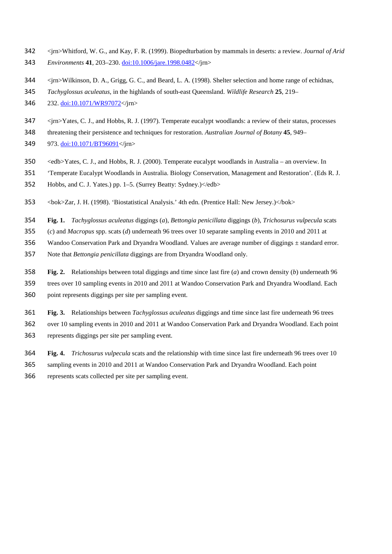- <jrn>Whitford, W. G., and Kay, F. R. (1999). Biopedturbation by mammals in deserts: a review. *Journal of Arid Environments* **41**, 203–230. [doi:10.1006/jare.1998.0482<](http://dx.doi.org/10.1006/jare.1998.0482)/jrn>
- <jrn>Wilkinson, D. A., Grigg, G. C., and Beard, L. A. (1998). Shelter selection and home range of echidnas,
- *Tachyglossus aculeatus*, in the highlands of south-east Queensland. *Wildlife Research* **25**, 219–
- 232. [doi:10.1071/WR97072<](http://dx.doi.org/10.1071/WR97072)/jrn>
- <jrn>Yates, C. J., and Hobbs, R. J. (1997). Temperate eucalypt woodlands: a review of their status, processes
- threatening their persistence and techniques for restoration. *Australian Journal of Botany* **45**, 949–
- 973. [doi:10.1071/BT96091<](http://dx.doi.org/10.1071/BT96091)/jrn>
- <edb>Yates, C. J., and Hobbs, R. J. (2000). Temperate eucalypt woodlands in Australia an overview. In
- 'Temperate Eucalypt Woodlands in Australia. Biology Conservation, Management and Restoration'. (Eds R. J.
- Hobbs, and C. J. Yates.) pp. 1–5. (Surrey Beatty: Sydney.)</edb>
- <bok>Zar, J. H. (1998). 'Biostatistical Analysis.' 4th edn. (Prentice Hall: New Jersey.)</bok>
- **Fig. 1.** *Tachyglossus aculeatus* diggings (*a*), *Bettongia penicillata* diggings (*b*), *Trichosurus vulpecula* scats
- (*c*) and *Macropus* spp. scats (*d*) underneath 96 trees over 10 separate sampling events in 2010 and 2011 at
- Wandoo Conservation Park and Dryandra Woodland. Values are average number of diggings ± standard error.
- Note that *Bettongia penicillata* diggings are from Dryandra Woodland only.
- **Fig. 2.** Relationships between total diggings and time since last fire (*a*) and crown density (*b*) underneath 96 trees over 10 sampling events in 2010 and 2011 at Wandoo Conservation Park and Dryandra Woodland. Each point represents diggings per site per sampling event.
- **Fig. 3.** Relationships between *Tachyglossus aculeatus* diggings and time since last fire underneath 96 trees over 10 sampling events in 2010 and 2011 at Wandoo Conservation Park and Dryandra Woodland. Each point represents diggings per site per sampling event.
- **Fig. 4.** *Trichosurus vulpecula* scats and the relationship with time since last fire underneath 96 trees over 10
- sampling events in 2010 and 2011 at Wandoo Conservation Park and Dryandra Woodland. Each point represents scats collected per site per sampling event.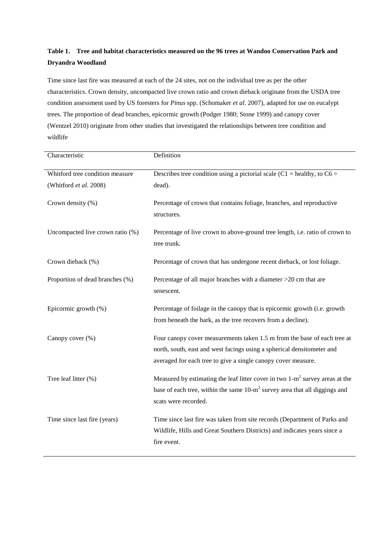### **Table 1. Tree and habitat characteristics measured on the 96 trees at Wandoo Conservation Park and Dryandra Woodland**

Time since last fire was measured at each of the 24 sites, not on the individual tree as per the other characteristics. Crown density, uncompacted live crown ratio and crown dieback originate from the USDA tree condition assessment used by US foresters for *Pinus* spp. (Schomaker *et al*. 2007), adapted for use on eucalypt trees. The proportion of dead branches, epicormic growth (Podger 1980; Stone 1999) and canopy cover (Wentzel 2010) originate from other studies that investigated the relationships between tree condition and wildlife

| Characteristic                   | Definition                                                                                                                                                                                                          |
|----------------------------------|---------------------------------------------------------------------------------------------------------------------------------------------------------------------------------------------------------------------|
| Whitford tree condition measure  | Describes tree condition using a pictorial scale (C1 = healthy, to $C6 =$                                                                                                                                           |
| (Whitford et al. 2008)           | dead).                                                                                                                                                                                                              |
| Crown density (%)                | Percentage of crown that contains foliage, branches, and reproductive<br>structures.                                                                                                                                |
| Uncompacted live crown ratio (%) | Percentage of live crown to above-ground tree length, i.e. ratio of crown to<br>tree trunk.                                                                                                                         |
| Crown dieback (%)                | Percentage of crown that has undergone recent dieback, or lost foliage.                                                                                                                                             |
| Proportion of dead branches (%)  | Percentage of all major branches with a diameter >20 cm that are<br>senescent.                                                                                                                                      |
| Epicormic growth (%)             | Percentage of foilage in the canopy that is epicormic growth (i.e. growth<br>from beneath the bark, as the tree recovers from a decline).                                                                           |
| Canopy cover (%)                 | Four canopy cover measurements taken 1.5 m from the base of each tree at<br>north, south, east and west facings using a spherical densitometer and<br>averaged for each tree to give a single canopy cover measure. |
| Tree leaf litter (%)             | Measured by estimating the leaf litter cover in two $1-m^2$ survey areas at the<br>base of each tree, within the same $10-m^2$ survey area that all diggings and<br>scats were recorded.                            |
| Time since last fire (years)     | Time since last fire was taken from site records (Department of Parks and<br>Wildlife, Hills and Great Southern Districts) and indicates years since a<br>fire event.                                               |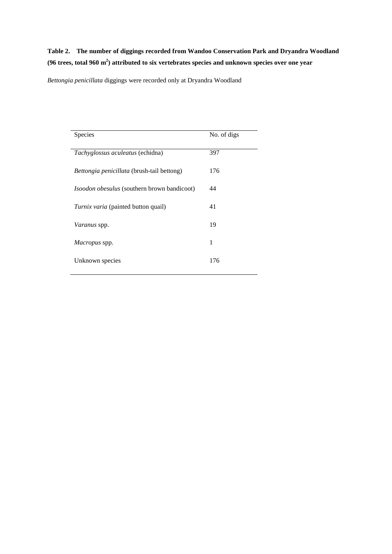## **Table 2. The number of diggings recorded from Wandoo Conservation Park and Dryandra Woodland**  (96 trees, total 960 m<sup>2</sup>) attributed to six vertebrates species and unknown species over one year

*Bettongia penicillata* diggings were recorded only at Dryandra Woodland

| Species                                     | No. of digs |
|---------------------------------------------|-------------|
| Tachyglossus aculeatus (echidna)            | 397         |
| Bettongia penicillata (brush-tail bettong)  | 176         |
| Isoodon obesulus (southern brown bandicoot) | 44          |
| Turnix varia (painted button quail)         | 41          |
| Varanus spp.                                | 19          |
| <i>Macropus</i> spp.                        | 1           |
| Unknown species                             | 176         |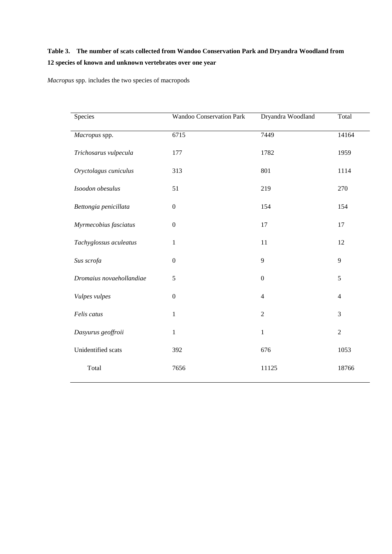## **Table 3. The number of scats collected from Wandoo Conservation Park and Dryandra Woodland from 12 species of known and unknown vertebrates over one year**

*Macropus* spp. includes the two species of macropods

| Species                  | Wandoo Conservation Park | Dryandra Woodland | Total          |  |
|--------------------------|--------------------------|-------------------|----------------|--|
| Macropus spp.            | 6715                     | 7449              | 14164          |  |
| Trichosarus vulpecula    | 177                      | 1782              | 1959           |  |
| Oryctolagus cuniculus    | 313                      | 801               | 1114           |  |
| Isoodon obesulus         | 51                       | 219               | 270            |  |
| Bettongia penicillata    | $\boldsymbol{0}$         | 154               | 154            |  |
| Myrmecobius fasciatus    | $\boldsymbol{0}$         | 17                | 17             |  |
| Tachyglossus aculeatus   | $\mathbf{1}$             | 11                | 12             |  |
| Sus scrofa               | $\boldsymbol{0}$         | $\overline{9}$    | 9              |  |
| Dromaius novaehollandiae | 5                        | $\boldsymbol{0}$  | 5              |  |
| Vulpes vulpes            | $\mathbf{0}$             | $\overline{4}$    | $\overline{4}$ |  |
| Felis catus              | $\mathbf{1}$             | $\overline{2}$    | 3              |  |
| Dasyurus geoffroii       | $\mathbf{1}$             | $\mathbf{1}$      | $\sqrt{2}$     |  |
| Unidentified scats       | 392                      | 676               | 1053           |  |
| Total                    | 7656                     | 11125             | 18766          |  |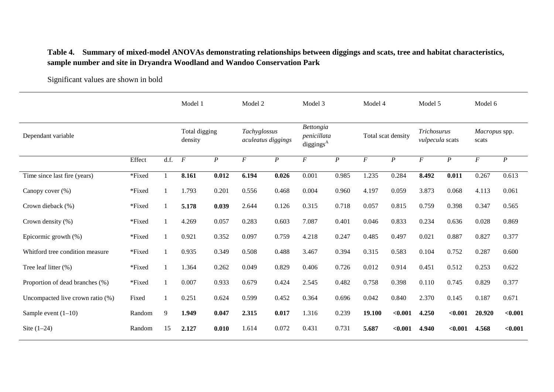### **Table 4. Summary of mixed-model ANOVAs demonstrating relationships between diggings and scats, tree and habitat characteristics, sample number and site in Dryandra Woodland and Wandoo Conservation Park**

Significant values are shown in bold

|                                  |        |              | Model 1                  |                  | Model 2                            |                  | Model 3                                           |                  | Model 4            |                  | Model 5                               |                  | Model 6                |                  |
|----------------------------------|--------|--------------|--------------------------|------------------|------------------------------------|------------------|---------------------------------------------------|------------------|--------------------|------------------|---------------------------------------|------------------|------------------------|------------------|
| Dependant variable               |        |              | Total digging<br>density |                  | Tachyglossus<br>aculeatus diggings |                  | Bettongia<br>penicillata<br>diggings <sup>A</sup> |                  | Total scat density |                  | <b>Trichosurus</b><br>vulpecula scats |                  | Macropus spp.<br>scats |                  |
|                                  | Effect | d.f.         | $\cal F$                 | $\boldsymbol{P}$ | $\cal F$                           | $\boldsymbol{P}$ | $\,F$                                             | $\boldsymbol{P}$ | $\cal F$           | $\boldsymbol{P}$ | $\cal F$                              | $\boldsymbol{P}$ | $\cal F$               | $\boldsymbol{P}$ |
| Time since last fire (years)     | *Fixed | $\mathbf{1}$ | 8.161                    | 0.012            | 6.194                              | 0.026            | 0.001                                             | 0.985            | 1.235              | 0.284            | 8.492                                 | 0.011            | 0.267                  | 0.613            |
| Canopy cover (%)                 | *Fixed | $\mathbf{1}$ | 1.793                    | 0.201            | 0.556                              | 0.468            | 0.004                                             | 0.960            | 4.197              | 0.059            | 3.873                                 | 0.068            | 4.113                  | 0.061            |
| Crown dieback (%)                | *Fixed | -1           | 5.178                    | 0.039            | 2.644                              | 0.126            | 0.315                                             | 0.718            | 0.057              | 0.815            | 0.759                                 | 0.398            | 0.347                  | 0.565            |
| Crown density (%)                | *Fixed |              | 4.269                    | 0.057            | 0.283                              | 0.603            | 7.087                                             | 0.401            | 0.046              | 0.833            | 0.234                                 | 0.636            | 0.028                  | 0.869            |
| Epicormic growth $(\%)$          | *Fixed |              | 0.921                    | 0.352            | 0.097                              | 0.759            | 4.218                                             | 0.247            | 0.485              | 0.497            | 0.021                                 | 0.887            | 0.827                  | 0.377            |
| Whitford tree condition measure  | *Fixed | 1            | 0.935                    | 0.349            | 0.508                              | 0.488            | 3.467                                             | 0.394            | 0.315              | 0.583            | 0.104                                 | 0.752            | 0.287                  | 0.600            |
| Tree leaf litter (%)             | *Fixed | $\mathbf{1}$ | 1.364                    | 0.262            | 0.049                              | 0.829            | 0.406                                             | 0.726            | 0.012              | 0.914            | 0.451                                 | 0.512            | 0.253                  | 0.622            |
| Proportion of dead branches (%)  | *Fixed | $\mathbf{1}$ | 0.007                    | 0.933            | 0.679                              | 0.424            | 2.545                                             | 0.482            | 0.758              | 0.398            | 0.110                                 | 0.745            | 0.829                  | 0.377            |
| Uncompacted live crown ratio (%) | Fixed  |              | 0.251                    | 0.624            | 0.599                              | 0.452            | 0.364                                             | 0.696            | 0.042              | 0.840            | 2.370                                 | 0.145            | 0.187                  | 0.671            |
| Sample event $(1-10)$            | Random | 9            | 1.949                    | 0.047            | 2.315                              | 0.017            | 1.316                                             | 0.239            | 19.100             | < 0.001          | 4.250                                 | < 0.001          | 20.920                 | < 0.001          |
| Site $(1-24)$                    | Random | 15           | 2.127                    | 0.010            | 1.614                              | 0.072            | 0.431                                             | 0.731            | 5.687              | < 0.001          | 4.940                                 | < 0.001          | 4.568                  | < 0.001          |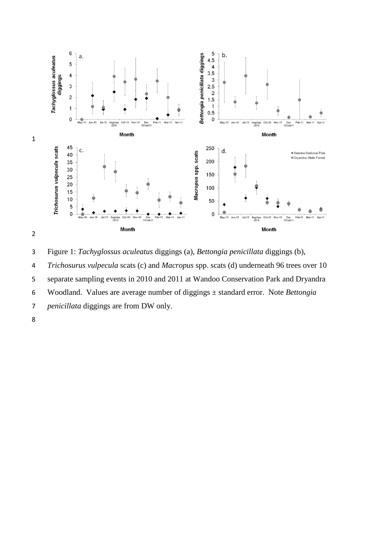

Figure 1: *Tachyglossus aculeatus* diggings (a), *Bettongia penicillata* diggings (b),

- *Trichosurus vulpecula* scats (c) and *Macropus* spp. scats (d) underneath 96 trees over 10
- separate sampling events in 2010 and 2011 at Wandoo Conservation Park and Dryandra
- Woodland. Values are average number of diggings ± standard error. Note *Bettongia*
- *penicillata* diggings are from DW only.
-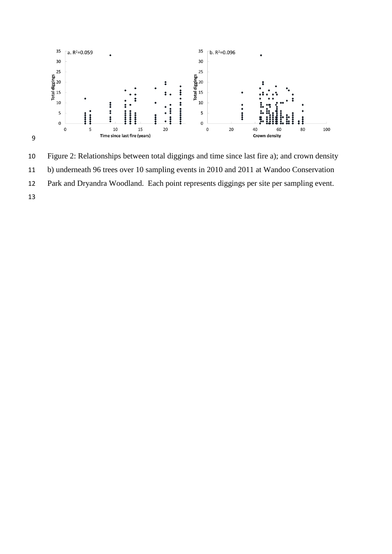

 Figure 2: Relationships between total diggings and time since last fire a); and crown density b) underneath 96 trees over 10 sampling events in 2010 and 2011 at Wandoo Conservation Park and Dryandra Woodland. Each point represents diggings per site per sampling event.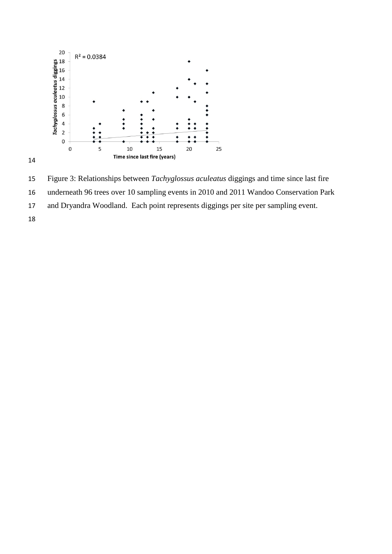

Figure 3: Relationships between *Tachyglossus aculeatus* diggings and time since last fire

underneath 96 trees over 10 sampling events in 2010 and 2011 Wandoo Conservation Park

and Dryandra Woodland. Each point represents diggings per site per sampling event.